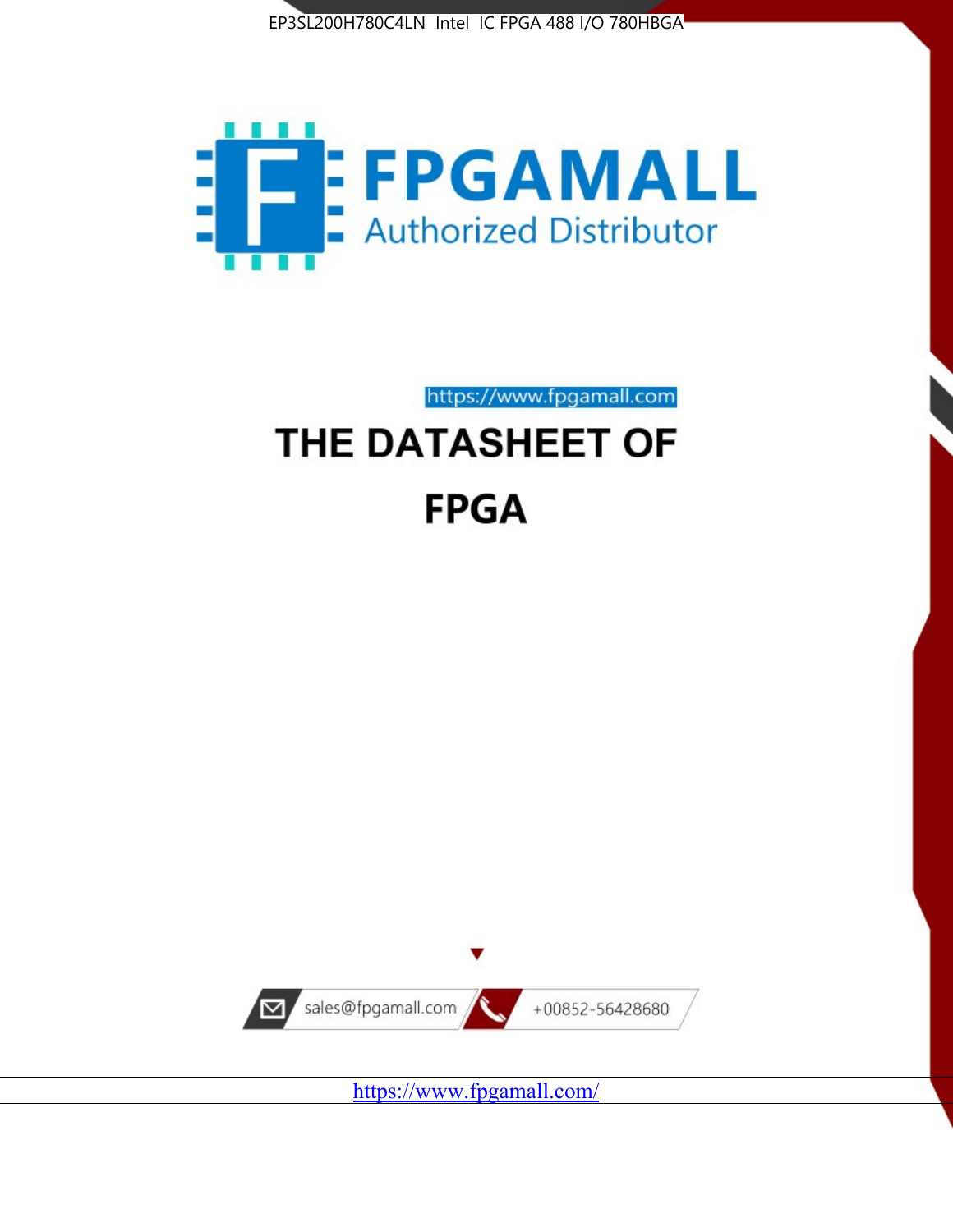



https://www.fpgamall.com THE DATASHEET OF

# **FPGA**



<https://www.fpgamall.com/>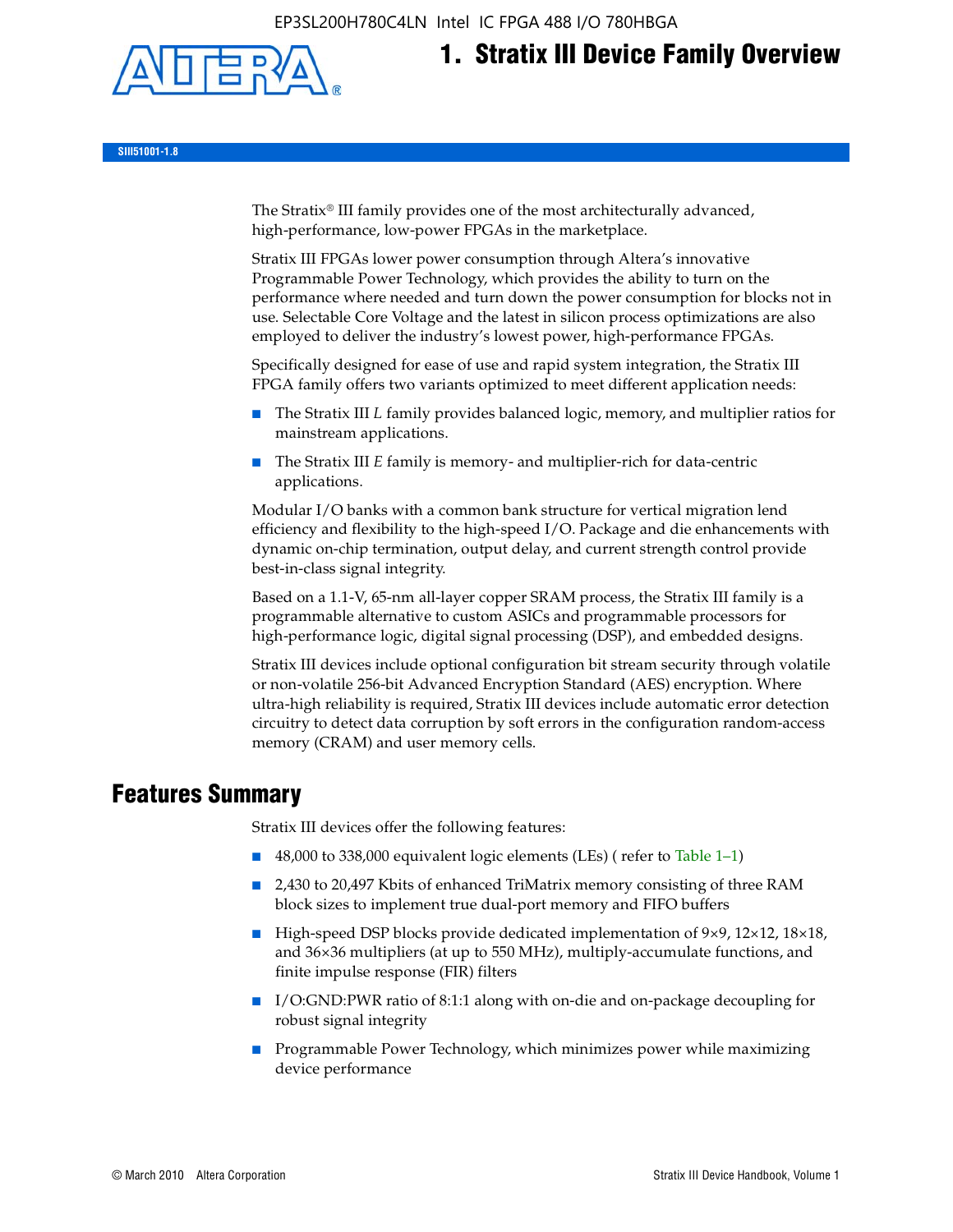EP3SL200H780C4LN Intel IC FPGA 488 I/O 780HBGA



# **1. Stratix III Device Family Overview**

**SIII51001-1.8**

The Stratix® III family provides one of the most architecturally advanced, high-performance, low-power FPGAs in the marketplace.

Stratix III FPGAs lower power consumption through Altera's innovative Programmable Power Technology, which provides the ability to turn on the performance where needed and turn down the power consumption for blocks not in use. Selectable Core Voltage and the latest in silicon process optimizations are also employed to deliver the industry's lowest power, high-performance FPGAs.

Specifically designed for ease of use and rapid system integration, the Stratix III FPGA family offers two variants optimized to meet different application needs:

- The Stratix III *L* family provides balanced logic, memory, and multiplier ratios for mainstream applications.
- The Stratix III *E* family is memory- and multiplier-rich for data-centric applications.

Modular I/O banks with a common bank structure for vertical migration lend efficiency and flexibility to the high-speed I/O. Package and die enhancements with dynamic on-chip termination, output delay, and current strength control provide best-in-class signal integrity.

Based on a 1.1-V, 65-nm all-layer copper SRAM process, the Stratix III family is a programmable alternative to custom ASICs and programmable processors for high-performance logic, digital signal processing (DSP), and embedded designs.

Stratix III devices include optional configuration bit stream security through volatile or non-volatile 256-bit Advanced Encryption Standard (AES) encryption. Where ultra-high reliability is required, Stratix III devices include automatic error detection circuitry to detect data corruption by soft errors in the configuration random-access memory (CRAM) and user memory cells.

## **Features Summary**

Stratix III devices offer the following features:

- 48,000 to 338,000 equivalent logic elements (LEs) (refer to Table 1–1)
- 2,430 to 20,497 Kbits of enhanced TriMatrix memory consisting of three RAM block sizes to implement true dual-port memory and FIFO buffers
- High-speed DSP blocks provide dedicated implementation of 9×9, 12×12, 18×18, and 36×36 multipliers (at up to 550 MHz), multiply-accumulate functions, and finite impulse response (FIR) filters
- I/O:GND:PWR ratio of 8:1:1 along with on-die and on-package decoupling for robust signal integrity
- Programmable Power Technology, which minimizes power while maximizing device performance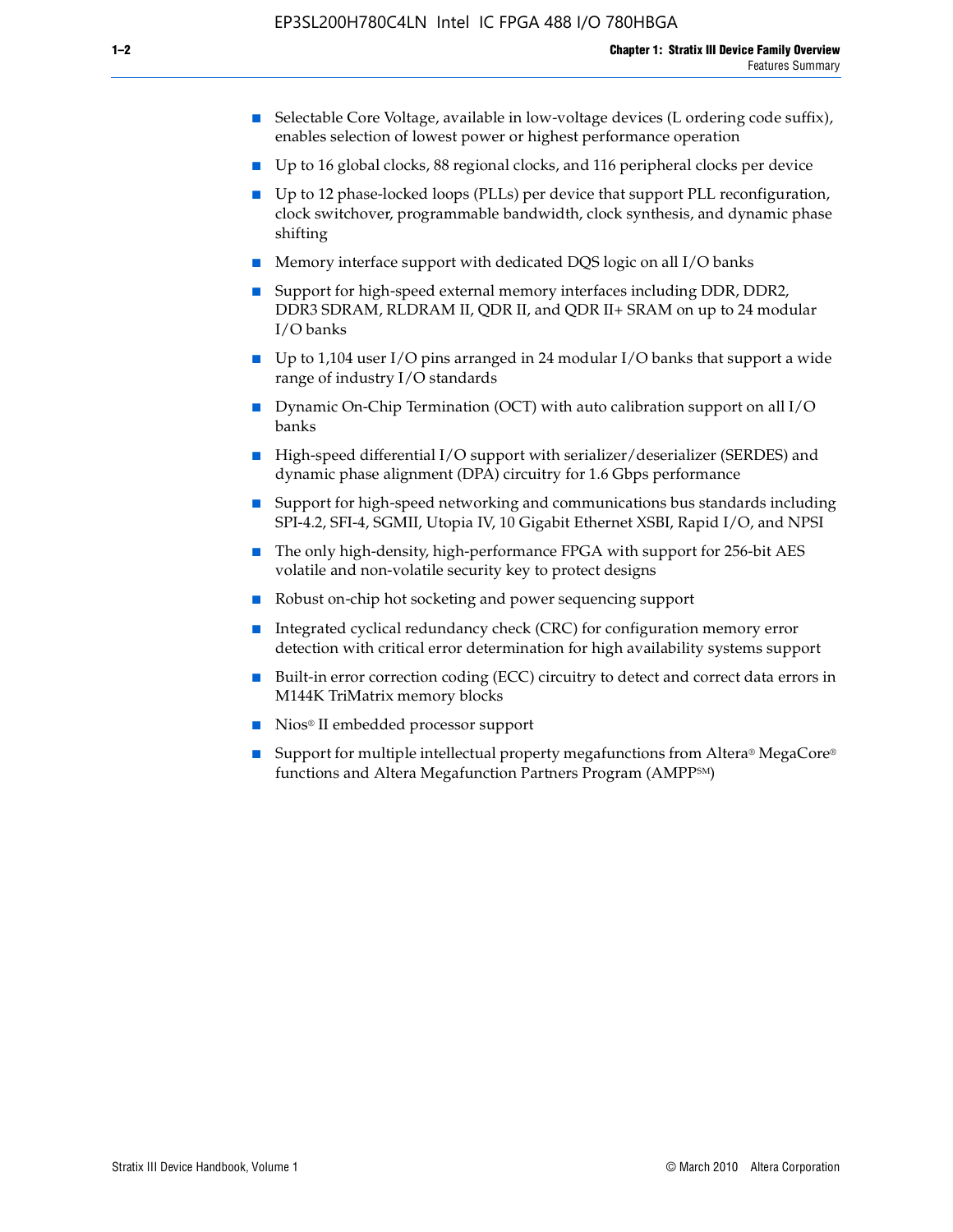- Selectable Core Voltage, available in low-voltage devices (L ordering code suffix), enables selection of lowest power or highest performance operation
- Up to 16 global clocks, 88 regional clocks, and 116 peripheral clocks per device
- Up to 12 phase-locked loops (PLLs) per device that support PLL reconfiguration, clock switchover, programmable bandwidth, clock synthesis, and dynamic phase shifting
- Memory interface support with dedicated DQS logic on all I/O banks
- Support for high-speed external memory interfaces including DDR, DDR2, DDR3 SDRAM, RLDRAM II, QDR II, and QDR II+ SRAM on up to 24 modular I/O banks
- Up to 1,104 user I/O pins arranged in 24 modular I/O banks that support a wide range of industry I/O standards
- Dynamic On-Chip Termination (OCT) with auto calibration support on all  $I/O$ banks
- High-speed differential I/O support with serializer/deserializer (SERDES) and dynamic phase alignment (DPA) circuitry for 1.6 Gbps performance
- Support for high-speed networking and communications bus standards including SPI-4.2, SFI-4, SGMII, Utopia IV, 10 Gigabit Ethernet XSBI, Rapid I/O, and NPSI
- The only high-density, high-performance FPGA with support for 256-bit AES volatile and non-volatile security key to protect designs
- Robust on-chip hot socketing and power sequencing support
- Integrated cyclical redundancy check (CRC) for configuration memory error detection with critical error determination for high availability systems support
- Built-in error correction coding (ECC) circuitry to detect and correct data errors in M144K TriMatrix memory blocks
- Nios<sup>®</sup> II embedded processor support
- Support for multiple intellectual property megafunctions from Altera® MegaCore® functions and Altera Megafunction Partners Program (AMPPSM)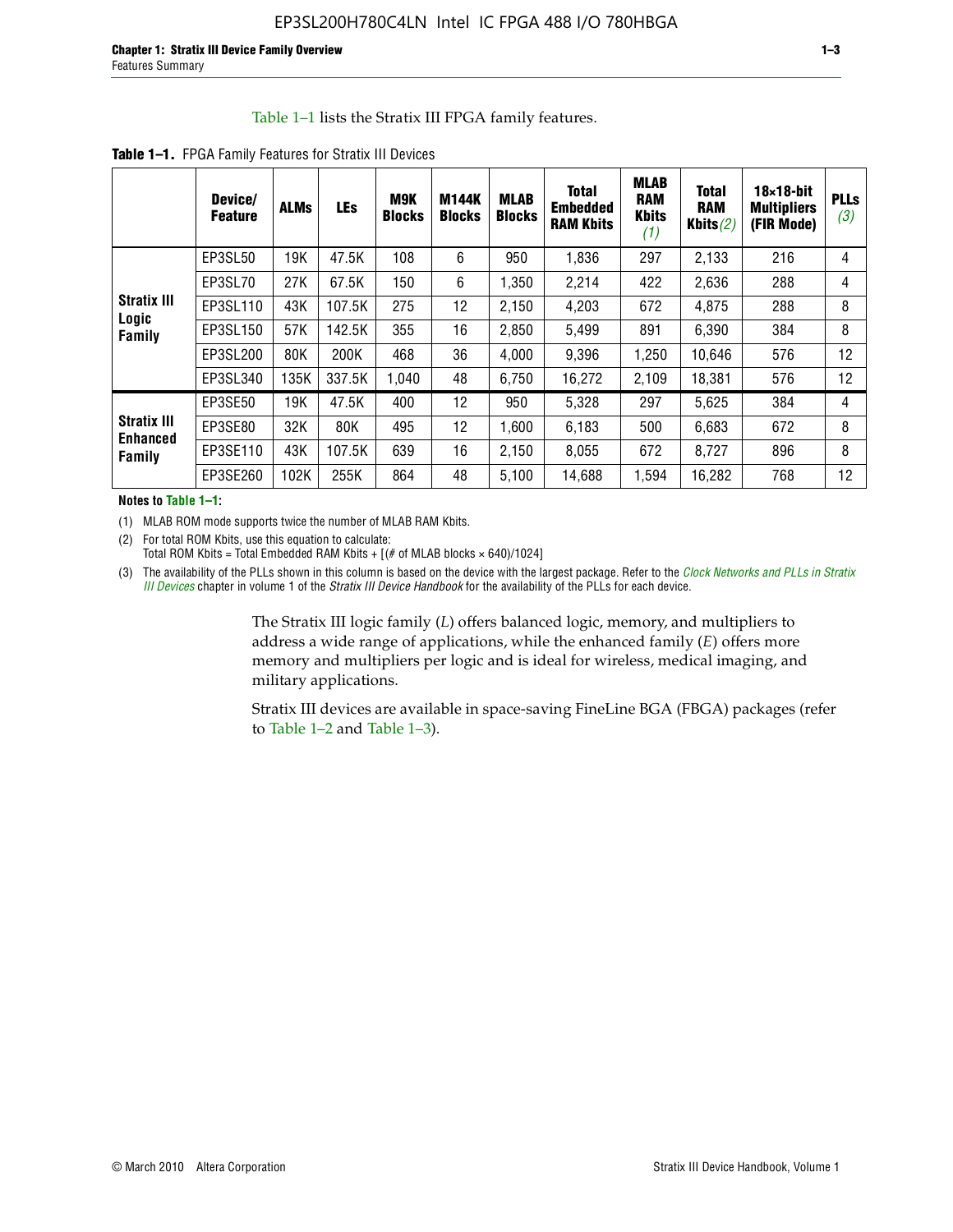#### Table 1–1 lists the Stratix III FPGA family features.

|                                                 | Device/<br><b>Feature</b> | <b>ALMs</b> | <b>LEs</b> | <b>M9K</b><br><b>Blocks</b> | <b>M144K</b><br><b>Blocks</b> | <b>MLAB</b><br><b>Blocks</b> | <b>Total</b><br>Embedded<br><b>RAM Kbits</b> | <b>MLAB</b><br><b>RAM</b><br><b>Kbits</b><br>(1) | <b>Total</b><br><b>RAM</b><br>Kbits $(2)$ | $18\times18$ -bit<br><b>Multipliers</b><br>(FIR Mode) | <b>PLLs</b><br>(3) |
|-------------------------------------------------|---------------------------|-------------|------------|-----------------------------|-------------------------------|------------------------------|----------------------------------------------|--------------------------------------------------|-------------------------------------------|-------------------------------------------------------|--------------------|
|                                                 | EP3SL50                   | 19K         | 47.5K      | 108                         | 6                             | 950                          | 1,836                                        | 297                                              | 2,133                                     | 216                                                   | 4                  |
|                                                 | EP3SL70                   | 27K         | 67.5K      | 150                         | 6                             | 1.350                        | 2,214                                        | 422                                              | 2,636                                     | 288                                                   | 4                  |
| <b>Stratix III</b>                              | EP3SL110                  | 43K         | 107.5K     | 275                         | 12                            | 2,150                        | 4,203                                        | 672                                              | 4,875                                     | 288                                                   | 8                  |
| Logic<br>Family                                 | EP3SL150                  | 57K         | 142.5K     | 355                         | 16                            | 2,850                        | 5,499                                        | 891                                              | 6,390                                     | 384                                                   | 8                  |
|                                                 | EP3SL200                  | 80K         | 200K       | 468                         | 36                            | 4,000                        | 9,396                                        | 1,250                                            | 10,646                                    | 576                                                   | 12                 |
|                                                 | EP3SL340                  | 135K        | 337.5K     | 1.040                       | 48                            | 6,750                        | 16,272                                       | 2,109                                            | 18,381                                    | 576                                                   | 12                 |
|                                                 | EP3SE50                   | 19K         | 47.5K      | 400                         | 12                            | 950                          | 5,328                                        | 297                                              | 5,625                                     | 384                                                   | 4                  |
| <b>Stratix III</b><br><b>Enhanced</b><br>Family | EP3SE80                   | 32K         | 80K        | 495                         | 12                            | 1,600                        | 6,183                                        | 500                                              | 6,683                                     | 672                                                   | 8                  |
|                                                 | EP3SE110                  | 43K         | 107.5K     | 639                         | 16                            | 2,150                        | 8,055                                        | 672                                              | 8,727                                     | 896                                                   | 8                  |
|                                                 | EP3SE260                  | 102K        | 255K       | 864                         | 48                            | 5,100                        | 14,688                                       | 1,594                                            | 16,282                                    | 768                                                   | 12                 |

**Table 1–1.** FPGA Family Features for Stratix III Devices

**Notes to Table 1–1:**

(1) MLAB ROM mode supports twice the number of MLAB RAM Kbits.

(2) For total ROM Kbits, use this equation to calculate: Total ROM Kbits = Total Embedded RAM Kbits +  $[(# of MLAB blocks × 640)/1024]$ 

(3) The availability of the PLLs shown in this column is based on the device with the largest package. Refer to the *[Clock Networks and PLLs in Stratix](http://www.altera.com/literature/hb/stx3/stx3_siii51006.pdf)  [III Devices](http://www.altera.com/literature/hb/stx3/stx3_siii51006.pdf)* chapter in volume 1 of the *Stratix III Device Handbook* for the availability of the PLLs for each device.

> The Stratix III logic family (*L*) offers balanced logic, memory, and multipliers to address a wide range of applications, while the enhanced family (*E*) offers more memory and multipliers per logic and is ideal for wireless, medical imaging, and military applications.

Stratix III devices are available in space-saving FineLine BGA (FBGA) packages (refer to Table 1–2 and Table 1–3).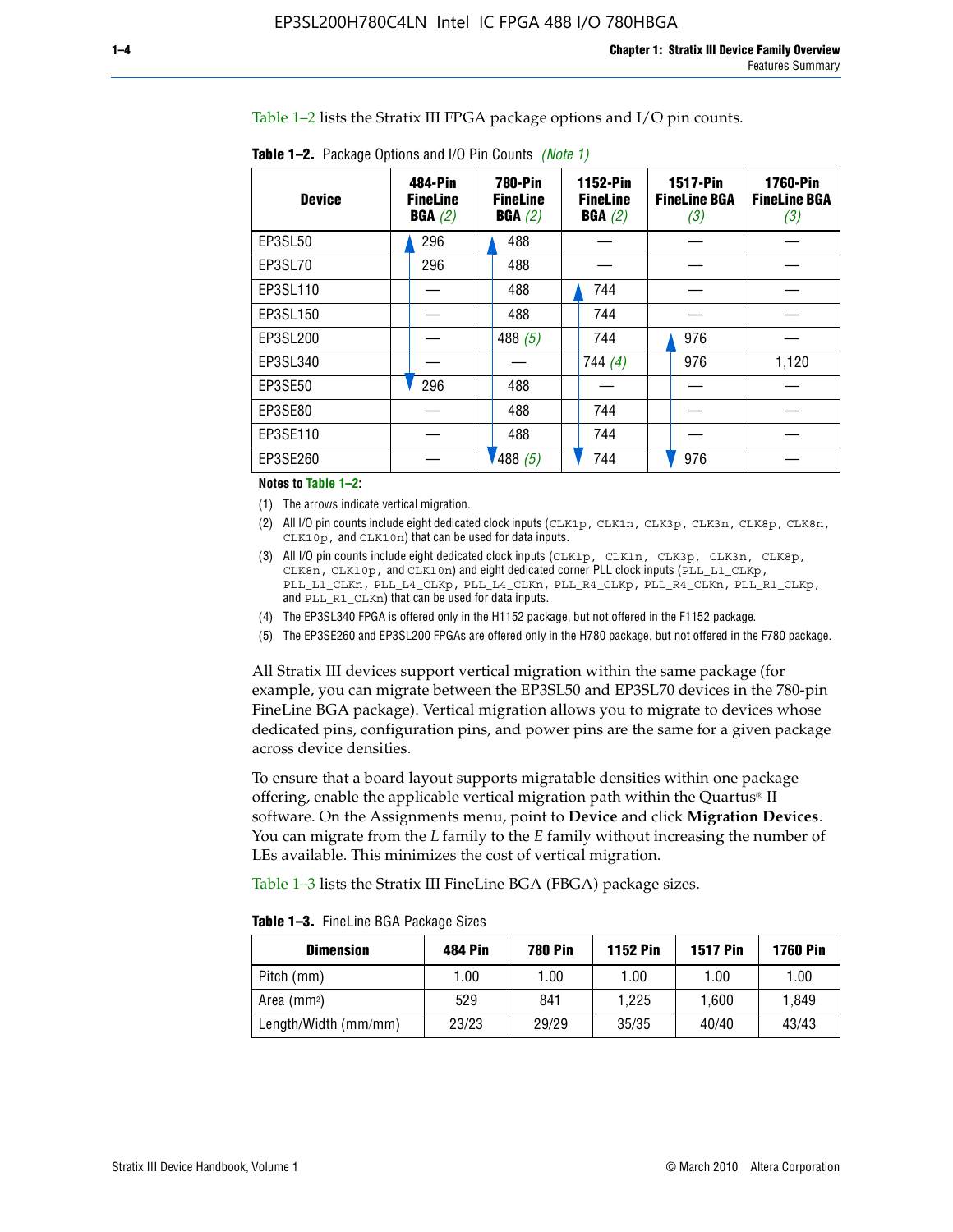Table 1–2 lists the Stratix III FPGA package options and I/O pin counts.

| <b>Device</b> | 484-Pin<br><b>FineLine</b><br>BGA(2) |  |           |  | <b>780-Pin</b><br><b>FineLine</b><br>BGA(2) |  | <b>1152-Pin</b><br><b>FineLine</b><br>BGA(2) |       | <b>1517-Pin</b><br><b>FineLine BGA</b><br>(3) | <b>1760-Pin</b><br><b>FineLine BGA</b><br>(3) |  |
|---------------|--------------------------------------|--|-----------|--|---------------------------------------------|--|----------------------------------------------|-------|-----------------------------------------------|-----------------------------------------------|--|
| EP3SL50       | 296                                  |  | 488       |  |                                             |  |                                              |       |                                               |                                               |  |
| EP3SL70       | 296                                  |  | 488       |  |                                             |  |                                              |       |                                               |                                               |  |
| EP3SL110      |                                      |  | 488       |  | 744                                         |  |                                              |       |                                               |                                               |  |
| EP3SL150      |                                      |  | 488       |  | 744                                         |  |                                              |       |                                               |                                               |  |
| EP3SL200      |                                      |  | 488 $(5)$ |  | 744                                         |  | 976                                          |       |                                               |                                               |  |
| EP3SL340      |                                      |  |           |  | 744 $(4)$                                   |  | 976                                          | 1,120 |                                               |                                               |  |
| EP3SE50       | 296                                  |  | 488       |  |                                             |  |                                              |       |                                               |                                               |  |
| EP3SE80       |                                      |  | 488       |  | 744                                         |  |                                              |       |                                               |                                               |  |
| EP3SE110      |                                      |  | 488       |  | 744                                         |  |                                              |       |                                               |                                               |  |
| EP3SE260      |                                      |  | 488 $(5)$ |  | 744                                         |  | 976                                          |       |                                               |                                               |  |

**Table 1–2.** Package Options and I/O Pin Counts *(Note 1)*

**Notes to Table 1–2:**

(1) The arrows indicate vertical migration.

- (2) All I/O pin counts include eight dedicated clock inputs (CLK1p, CLK1n, CLK3p, CLK3n, CLK8p, CLK8n, CLK10p, and CLK10n) that can be used for data inputs.
- (3) All I/O pin counts include eight dedicated clock inputs (CLK1p, CLK1n, CLK3p, CLK3n, CLK8p, CLK8n, CLK10p, and CLK10n) and eight dedicated corner PLL clock inputs (PLL\_L1\_CLKp, PLL\_L1\_CLKn, PLL\_L4\_CLKp, PLL\_L4\_CLKn, PLL\_R4\_CLKp, PLL\_R4\_CLKn, PLL\_R1\_CLKp, and PLL\_R1\_CLKn) that can be used for data inputs.
- (4) The EP3SL340 FPGA is offered only in the H1152 package, but not offered in the F1152 package.
- (5) The EP3SE260 and EP3SL200 FPGAs are offered only in the H780 package, but not offered in the F780 package.

All Stratix III devices support vertical migration within the same package (for example, you can migrate between the EP3SL50 and EP3SL70 devices in the 780-pin FineLine BGA package). Vertical migration allows you to migrate to devices whose dedicated pins, configuration pins, and power pins are the same for a given package across device densities.

To ensure that a board layout supports migratable densities within one package offering, enable the applicable vertical migration path within the Quartus® II software. On the Assignments menu, point to **Device** and click **Migration Devices**. You can migrate from the *L* family to the *E* family without increasing the number of LEs available. This minimizes the cost of vertical migration.

Table 1–3 lists the Stratix III FineLine BGA (FBGA) package sizes.

**Table 1–3.** FineLine BGA Package Sizes

| <b>Dimension</b>     | <b>484 Pin</b> | <b>780 Pin</b> | <b>1152 Pin</b> | <b>1517 Pin</b> | <b>1760 Pin</b> |
|----------------------|----------------|----------------|-----------------|-----------------|-----------------|
| Pitch (mm)           | 1.00           | 1.00           | 1.00            | 1.00            | 1.00            |
| Area (mmª)           | 529            | 841            | 1.225           | 1.600           | 1.849           |
| Length/Width (mm/mm) | 23/23          | 29/29          | 35/35           | 40/40           | 43/43           |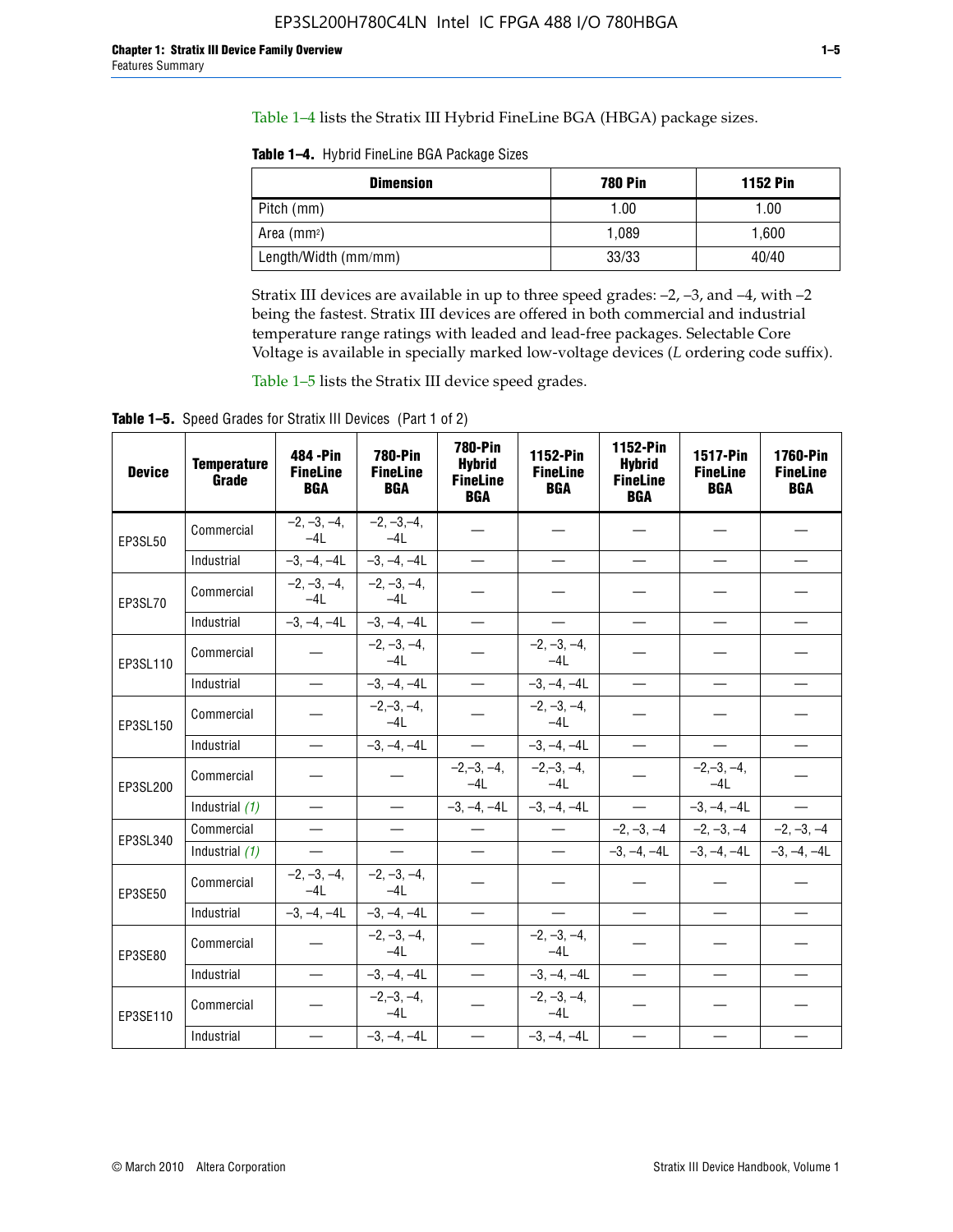Table 1–4 lists the Stratix III Hybrid FineLine BGA (HBGA) package sizes.

**Table 1–4.** Hybrid FineLine BGA Package Sizes

| <b>Dimension</b>     | <b>780 Pin</b> | <b>1152 Pin</b> |
|----------------------|----------------|-----------------|
| Pitch (mm)           | 1.00           | 1.00            |
| Area $(mm^2)$        | 1.089          | 1.600           |
| Length/Width (mm/mm) | 33/33          | 40/40           |

Stratix III devices are available in up to three speed grades: –2, –3, and –4, with –2 being the fastest. Stratix III devices are offered in both commercial and industrial temperature range ratings with leaded and lead-free packages. Selectable Core Voltage is available in specially marked low-voltage devices (*L* ordering code suffix).

Table 1–5 lists the Stratix III device speed grades.

Table 1-5. Speed Grades for Stratix III Devices (Part 1 of 2)

| <b>Device</b> | <b>Temperature</b><br>Grade | 484 - Pin<br><b>FineLine</b><br><b>BGA</b> | <b>780-Pin</b><br><b>FineLine</b><br><b>BGA</b> | <b>780-Pin</b><br><b>Hybrid</b><br><b>FineLine</b><br><b>BGA</b> | 1152-Pin<br><b>FineLine</b><br><b>BGA</b> | 1152-Pin<br><b>Hybrid</b><br><b>FineLine</b><br><b>BGA</b> | 1517-Pin<br><b>FineLine</b><br><b>BGA</b> | 1760-Pin<br><b>FineLine</b><br><b>BGA</b> |
|---------------|-----------------------------|--------------------------------------------|-------------------------------------------------|------------------------------------------------------------------|-------------------------------------------|------------------------------------------------------------|-------------------------------------------|-------------------------------------------|
| EP3SL50       | Commercial                  | $-2, -3, -4,$<br>$-4L$                     | $-2, -3, -4,$<br>$-4L$                          |                                                                  |                                           |                                                            |                                           |                                           |
|               | Industrial                  | $-3, -4, -4L$                              | $-3, -4, -4L$                                   | $\overline{\phantom{0}}$                                         | $\equiv$                                  | $\equiv$                                                   | $\equiv$                                  | $\equiv$                                  |
| EP3SL70       | Commercial                  | $-2, -3, -4,$<br>$-41$                     | $-2, -3, -4,$<br>$-41$                          |                                                                  |                                           |                                                            |                                           |                                           |
|               | Industrial                  | $-3, -4, -4L$                              | $-3, -4, -4L$                                   | $\equiv$                                                         |                                           |                                                            | $\overline{\phantom{0}}$                  | $\overline{\phantom{0}}$                  |
| EP3SL110      | Commercial                  |                                            | $-2, -3, -4,$<br>$-4L$                          |                                                                  | $-2, -3, -4,$<br>$-4L$                    |                                                            |                                           |                                           |
|               | Industrial                  | $\equiv$                                   | $-3, -4, -4L$                                   | $\qquad \qquad -$                                                | $-3, -4, -4L$                             | $\equiv$                                                   | $\equiv$                                  | $\equiv$                                  |
| EP3SL150      | Commercial                  |                                            | $-2, -3, -4,$<br>$-4L$                          |                                                                  | $-2, -3, -4,$<br>$-41$                    |                                                            |                                           |                                           |
|               | Industrial                  |                                            | $-3, -4, -4L$                                   | $\frac{1}{2}$                                                    | $-3, -4, -4L$                             | $\overline{\phantom{m}}$                                   | $\overline{\phantom{0}}$                  | $\overline{\phantom{0}}$                  |
| EP3SL200      | Commercial                  |                                            |                                                 | $-2, -3, -4,$<br>$-4L$                                           | $-2, -3, -4,$<br>$-4L$                    |                                                            | $-2,-3,-4,$<br>$-4L$                      |                                           |
|               | Industrial (1)              | $\equiv$                                   | $\equiv$                                        | $-3, -4, -4L$                                                    | $-3, -4, -4L$                             | $\frac{1}{1}$                                              | $-3, -4, -4L$                             | $\equiv$                                  |
| EP3SL340      | Commercial                  |                                            | $\equiv$                                        |                                                                  | $\overline{\phantom{a}}$                  |                                                            | $-2, -3, -4$ $-2, -3, -4$                 | $-2, -3, -4$                              |
|               | Industrial (1)              |                                            | $\equiv$                                        | $\qquad \qquad$                                                  | $\overline{\phantom{0}}$                  |                                                            | $-3, -4, -4$ $-4$ $-3, -4, -4$            | $-3, -4, -4L$                             |
| EP3SE50       | Commercial                  | $-2, -3, -4,$<br>$-4L$                     | $-2, -3, -4,$<br>$-4L$                          |                                                                  |                                           |                                                            |                                           |                                           |
|               | Industrial                  | $-3, -4, -4L$                              | $-3, -4, -4L$                                   | $\equiv$                                                         | $\equiv$                                  | $\equiv$                                                   | $\equiv$                                  | $\equiv$                                  |
| EP3SE80       | Commercial                  |                                            | $-2, -3, -4,$<br>$-4L$                          |                                                                  | $-2, -3, -4,$<br>$-4L$                    |                                                            |                                           |                                           |
|               | Industrial                  |                                            | $-3, -4, -4L$                                   |                                                                  | $-3, -4, -4L$                             |                                                            | $\equiv$                                  |                                           |
| EP3SE110      | Commercial                  |                                            | $-2, -3, -4,$<br>$-4L$                          |                                                                  | $-2, -3, -4,$<br>$-4L$                    |                                                            |                                           |                                           |
|               | Industrial                  |                                            | $-3, -4, -4L$                                   | $\overline{\phantom{0}}$                                         | $-3, -4, -4L$                             |                                                            |                                           |                                           |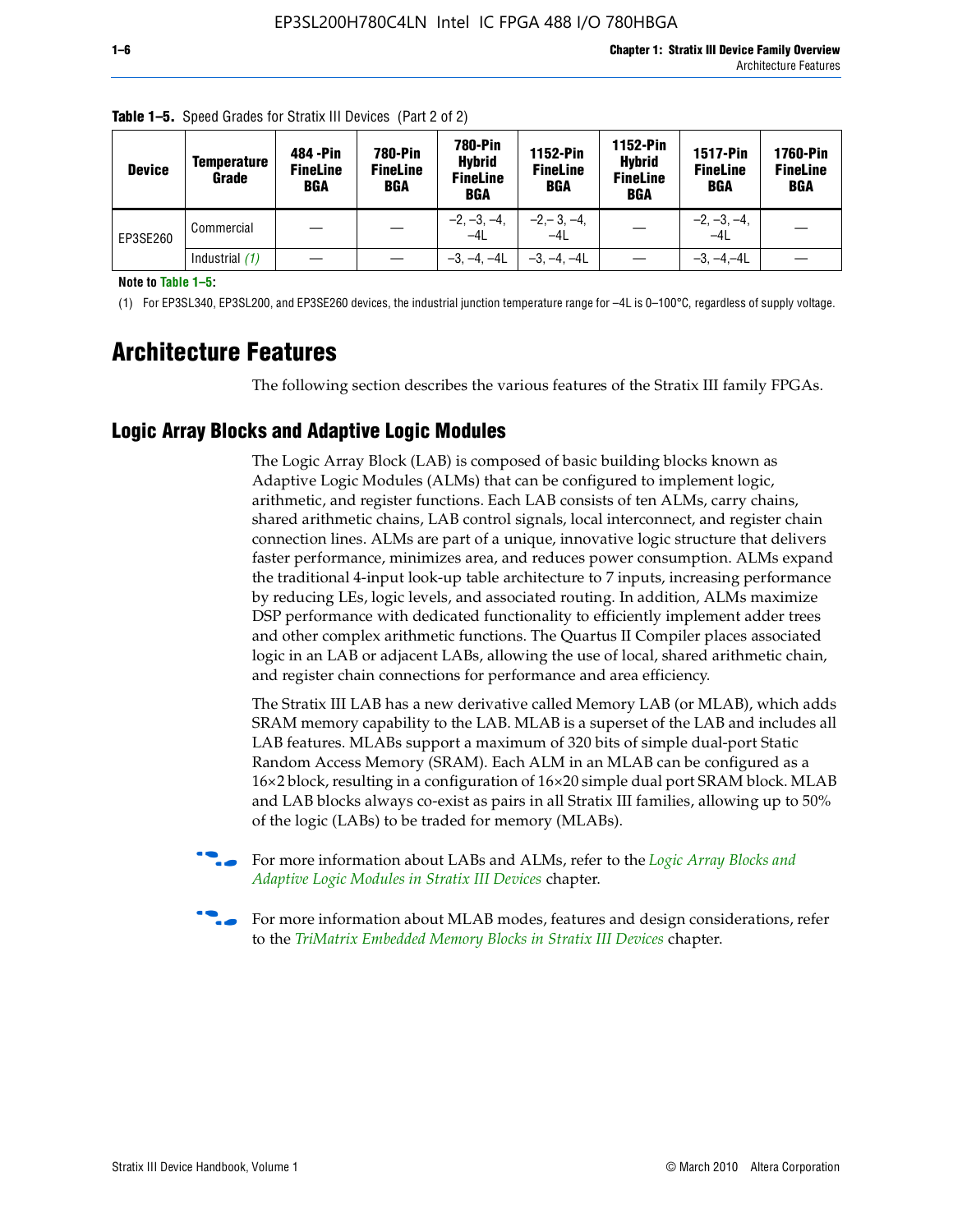| <b>Device</b> | <b>Temperature</b><br>Grade | 484 - Pin<br><b>FineLine</b><br><b>BGA</b> | <b>780-Pin</b><br><b>FineLine</b><br><b>BGA</b> | <b>780-Pin</b><br><b>Hybrid</b><br><b>FineLine</b><br><b>BGA</b> | 1152-Pin<br><b>FineLine</b><br>BGA | 1152-Pin<br><b>Hybrid</b><br><b>FineLine</b><br>BGA | <b>1517-Pin</b><br><b>FineLine</b><br><b>BGA</b> | <b>1760-Pin</b><br><b>FineLine</b><br><b>BGA</b> |
|---------------|-----------------------------|--------------------------------------------|-------------------------------------------------|------------------------------------------------------------------|------------------------------------|-----------------------------------------------------|--------------------------------------------------|--------------------------------------------------|
| EP3SE260      | Commercial                  |                                            |                                                 | $-2, -3, -4,$<br>$-4L$                                           | $-2, -3, -4,$<br>$-4L$             |                                                     | $-2, -3, -4,$<br>$-4L$                           |                                                  |
|               | Industrial $(1)$            |                                            |                                                 | $-3, -4, -4L$                                                    | $-3, -4, -4L$                      |                                                     | $-3, -4, -4L$                                    |                                                  |

**Table 1–5.** Speed Grades for Stratix III Devices (Part 2 of 2)

**Note to Table 1–5:**

(1) For EP3SL340, EP3SL200, and EP3SE260 devices, the industrial junction temperature range for –4L is 0–100°C, regardless of supply voltage.

# **Architecture Features**

The following section describes the various features of the Stratix III family FPGAs.

## **Logic Array Blocks and Adaptive Logic Modules**

The Logic Array Block (LAB) is composed of basic building blocks known as Adaptive Logic Modules (ALMs) that can be configured to implement logic, arithmetic, and register functions. Each LAB consists of ten ALMs, carry chains, shared arithmetic chains, LAB control signals, local interconnect, and register chain connection lines. ALMs are part of a unique, innovative logic structure that delivers faster performance, minimizes area, and reduces power consumption. ALMs expand the traditional 4-input look-up table architecture to 7 inputs, increasing performance by reducing LEs, logic levels, and associated routing. In addition, ALMs maximize DSP performance with dedicated functionality to efficiently implement adder trees and other complex arithmetic functions. The Quartus II Compiler places associated logic in an LAB or adjacent LABs, allowing the use of local, shared arithmetic chain, and register chain connections for performance and area efficiency.

The Stratix III LAB has a new derivative called Memory LAB (or MLAB), which adds SRAM memory capability to the LAB. MLAB is a superset of the LAB and includes all LAB features. MLABs support a maximum of 320 bits of simple dual-port Static Random Access Memory (SRAM). Each ALM in an MLAB can be configured as a 16×2 block, resulting in a configuration of 16×20 simple dual port SRAM block. MLAB and LAB blocks always co-exist as pairs in all Stratix III families, allowing up to 50% of the logic (LABs) to be traded for memory (MLABs).



f For more information about LABs and ALMs, refer to the *[Logic Array Blocks and](http://www.altera.com/literature/hb/stx3/stx3_siii51002.pdf)  [Adaptive Logic Modules in Stratix III Devices](http://www.altera.com/literature/hb/stx3/stx3_siii51002.pdf)* chapter.



For more information about MLAB modes, features and design considerations, refer to the *[TriMatrix Embedded Memory Blocks in Stratix III Devices](http://www.altera.com/literature/hb/stx3/stx3_siii51004.pdf)* chapter.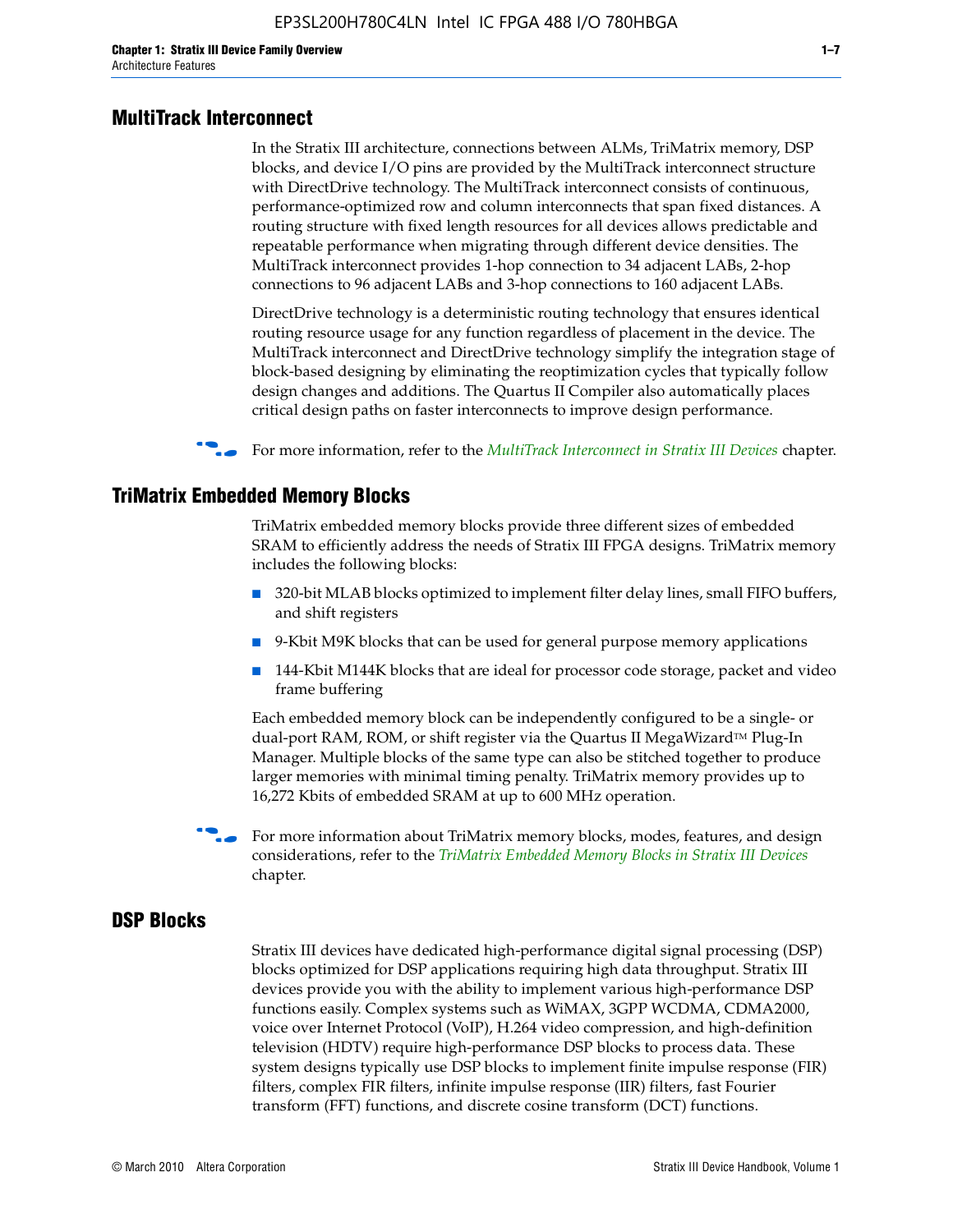#### **MultiTrack Interconnect**

In the Stratix III architecture, connections between ALMs, TriMatrix memory, DSP blocks, and device I/O pins are provided by the MultiTrack interconnect structure with DirectDrive technology. The MultiTrack interconnect consists of continuous, performance-optimized row and column interconnects that span fixed distances. A routing structure with fixed length resources for all devices allows predictable and repeatable performance when migrating through different device densities. The MultiTrack interconnect provides 1-hop connection to 34 adjacent LABs, 2-hop connections to 96 adjacent LABs and 3-hop connections to 160 adjacent LABs.

DirectDrive technology is a deterministic routing technology that ensures identical routing resource usage for any function regardless of placement in the device. The MultiTrack interconnect and DirectDrive technology simplify the integration stage of block-based designing by eliminating the reoptimization cycles that typically follow design changes and additions. The Quartus II Compiler also automatically places critical design paths on faster interconnects to improve design performance.

#### **For more information, refer to the** *[MultiTrack Interconnect in Stratix III Devices](http://www.altera.com/literature/hb/stx3/stx3_siii51003.pdf)* **chapter.**

#### **TriMatrix Embedded Memory Blocks**

TriMatrix embedded memory blocks provide three different sizes of embedded SRAM to efficiently address the needs of Stratix III FPGA designs. TriMatrix memory includes the following blocks:

- 320-bit MLAB blocks optimized to implement filter delay lines, small FIFO buffers, and shift registers
- 9-Kbit M9K blocks that can be used for general purpose memory applications
- 144-Kbit M144K blocks that are ideal for processor code storage, packet and video frame buffering

Each embedded memory block can be independently configured to be a single- or dual-port RAM, ROM, or shift register via the Quartus II MegaWizard™ Plug-In Manager. Multiple blocks of the same type can also be stitched together to produce larger memories with minimal timing penalty. TriMatrix memory provides up to 16,272 Kbits of embedded SRAM at up to 600 MHz operation.

For more information about TriMatrix memory blocks, modes, features, and design considerations, refer to the *[TriMatrix Embedded Memory Blocks in Stratix III Devices](http://www.altera.com/literature/hb/stx3/stx3_siii51004.pdf)* chapter.

#### **DSP Blocks**

Stratix III devices have dedicated high-performance digital signal processing (DSP) blocks optimized for DSP applications requiring high data throughput. Stratix III devices provide you with the ability to implement various high-performance DSP functions easily. Complex systems such as WiMAX, 3GPP WCDMA, CDMA2000, voice over Internet Protocol (VoIP), H.264 video compression, and high-definition television (HDTV) require high-performance DSP blocks to process data. These system designs typically use DSP blocks to implement finite impulse response (FIR) filters, complex FIR filters, infinite impulse response (IIR) filters, fast Fourier transform (FFT) functions, and discrete cosine transform (DCT) functions.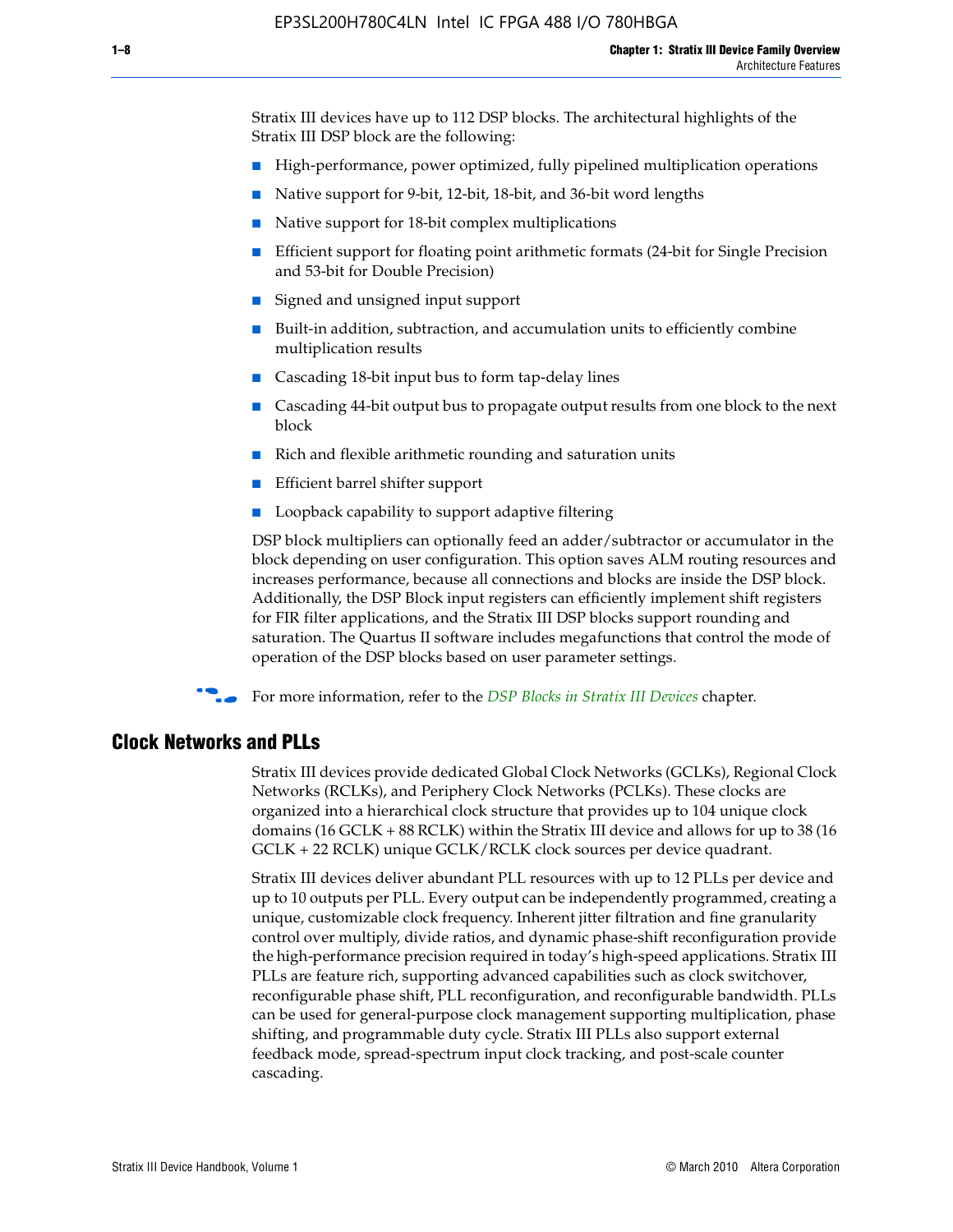Stratix III devices have up to 112 DSP blocks. The architectural highlights of the Stratix III DSP block are the following:

- High-performance, power optimized, fully pipelined multiplication operations
- Native support for 9-bit, 12-bit, 18-bit, and 36-bit word lengths
- Native support for 18-bit complex multiplications
- Efficient support for floating point arithmetic formats (24-bit for Single Precision and 53-bit for Double Precision)
- Signed and unsigned input support
- Built-in addition, subtraction, and accumulation units to efficiently combine multiplication results
- Cascading 18-bit input bus to form tap-delay lines
- Cascading 44-bit output bus to propagate output results from one block to the next block
- Rich and flexible arithmetic rounding and saturation units
- Efficient barrel shifter support
- Loopback capability to support adaptive filtering

DSP block multipliers can optionally feed an adder/subtractor or accumulator in the block depending on user configuration. This option saves ALM routing resources and increases performance, because all connections and blocks are inside the DSP block. Additionally, the DSP Block input registers can efficiently implement shift registers for FIR filter applications, and the Stratix III DSP blocks support rounding and saturation. The Quartus II software includes megafunctions that control the mode of operation of the DSP blocks based on user parameter settings.

f For more information, refer to the *[DSP Blocks in Stratix III Devices](http://www.altera.com/literature/hb/stx3/stx3_siii51005.pdf)* chapter.

#### **Clock Networks and PLLs**

Stratix III devices provide dedicated Global Clock Networks (GCLKs), Regional Clock Networks (RCLKs), and Periphery Clock Networks (PCLKs). These clocks are organized into a hierarchical clock structure that provides up to 104 unique clock domains (16 GCLK + 88 RCLK) within the Stratix III device and allows for up to 38 (16 GCLK + 22 RCLK) unique GCLK/RCLK clock sources per device quadrant.

Stratix III devices deliver abundant PLL resources with up to 12 PLLs per device and up to 10 outputs per PLL. Every output can be independently programmed, creating a unique, customizable clock frequency. Inherent jitter filtration and fine granularity control over multiply, divide ratios, and dynamic phase-shift reconfiguration provide the high-performance precision required in today's high-speed applications. Stratix III PLLs are feature rich, supporting advanced capabilities such as clock switchover, reconfigurable phase shift, PLL reconfiguration, and reconfigurable bandwidth. PLLs can be used for general-purpose clock management supporting multiplication, phase shifting, and programmable duty cycle. Stratix III PLLs also support external feedback mode, spread-spectrum input clock tracking, and post-scale counter cascading.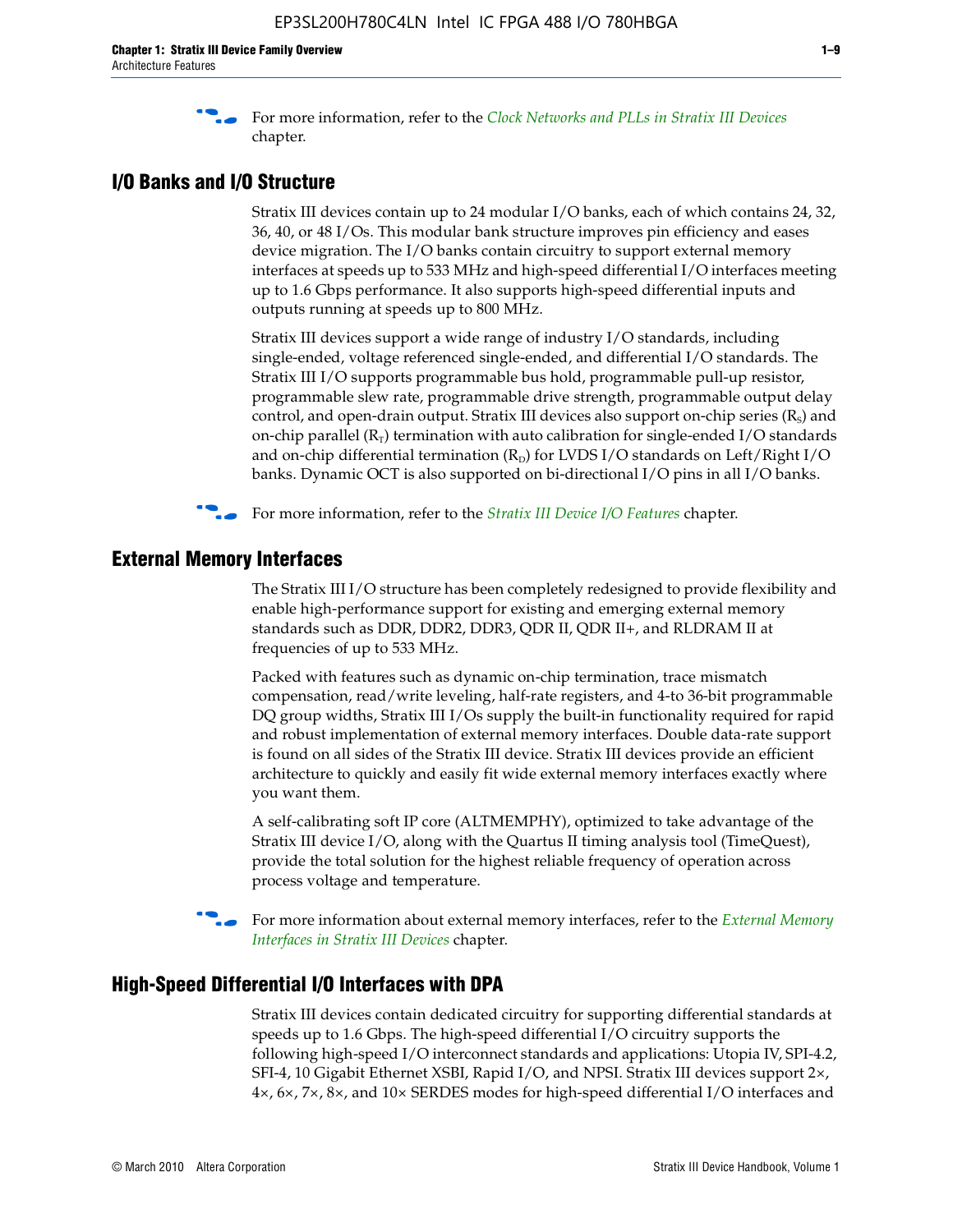f For more information, refer to the *[Clock Networks and PLLs in Stratix III Devices](http://www.altera.com/literature/hb/stx3/stx3_siii51006.pdf)* chapter.

#### **I/O Banks and I/O Structure**

Stratix III devices contain up to 24 modular I/O banks, each of which contains 24, 32, 36, 40, or 48 I/Os. This modular bank structure improves pin efficiency and eases device migration. The I/O banks contain circuitry to support external memory interfaces at speeds up to 533 MHz and high-speed differential I/O interfaces meeting up to 1.6 Gbps performance. It also supports high-speed differential inputs and outputs running at speeds up to 800 MHz.

Stratix III devices support a wide range of industry I/O standards, including single-ended, voltage referenced single-ended, and differential I/O standards. The Stratix III I/O supports programmable bus hold, programmable pull-up resistor, programmable slew rate, programmable drive strength, programmable output delay control, and open-drain output. Stratix III devices also support on-chip series  $(R<sub>s</sub>)$  and on-chip parallel  $(R_T)$  termination with auto calibration for single-ended I/O standards and on-chip differential termination  $(R_D)$  for LVDS I/O standards on Left/Right I/O banks. Dynamic OCT is also supported on bi-directional I/O pins in all I/O banks.

**For more information, refer to the** *[Stratix III Device I/O Features](http://www.altera.com/literature/hb/stx3/stx3_siii51007.pdf)* **chapter.** 

## **External Memory Interfaces**

The Stratix III I/O structure has been completely redesigned to provide flexibility and enable high-performance support for existing and emerging external memory standards such as DDR, DDR2, DDR3, QDR II, QDR II+, and RLDRAM II at frequencies of up to 533 MHz.

Packed with features such as dynamic on-chip termination, trace mismatch compensation, read/write leveling, half-rate registers, and 4-to 36-bit programmable DQ group widths, Stratix III I/Os supply the built-in functionality required for rapid and robust implementation of external memory interfaces. Double data-rate support is found on all sides of the Stratix III device. Stratix III devices provide an efficient architecture to quickly and easily fit wide external memory interfaces exactly where you want them.

A self-calibrating soft IP core (ALTMEMPHY), optimized to take advantage of the Stratix III device I/O, along with the Quartus II timing analysis tool (TimeQuest), provide the total solution for the highest reliable frequency of operation across process voltage and temperature.

f For more information about external memory interfaces, refer to the *[External Memory](http://www.altera.com/literature/hb/stx3/stx3_siii51008.pdf)  [Interfaces in Stratix III Devices](http://www.altera.com/literature/hb/stx3/stx3_siii51008.pdf)* chapter.

#### **High-Speed Differential I/O Interfaces with DPA**

Stratix III devices contain dedicated circuitry for supporting differential standards at speeds up to 1.6 Gbps. The high-speed differential I/O circuitry supports the following high-speed I/O interconnect standards and applications: Utopia IV, SPI-4.2, SFI-4, 10 Gigabit Ethernet XSBI, Rapid I/O, and NPSI. Stratix III devices support 2×, 4×, 6×, 7×, 8×, and 10× SERDES modes for high-speed differential I/O interfaces and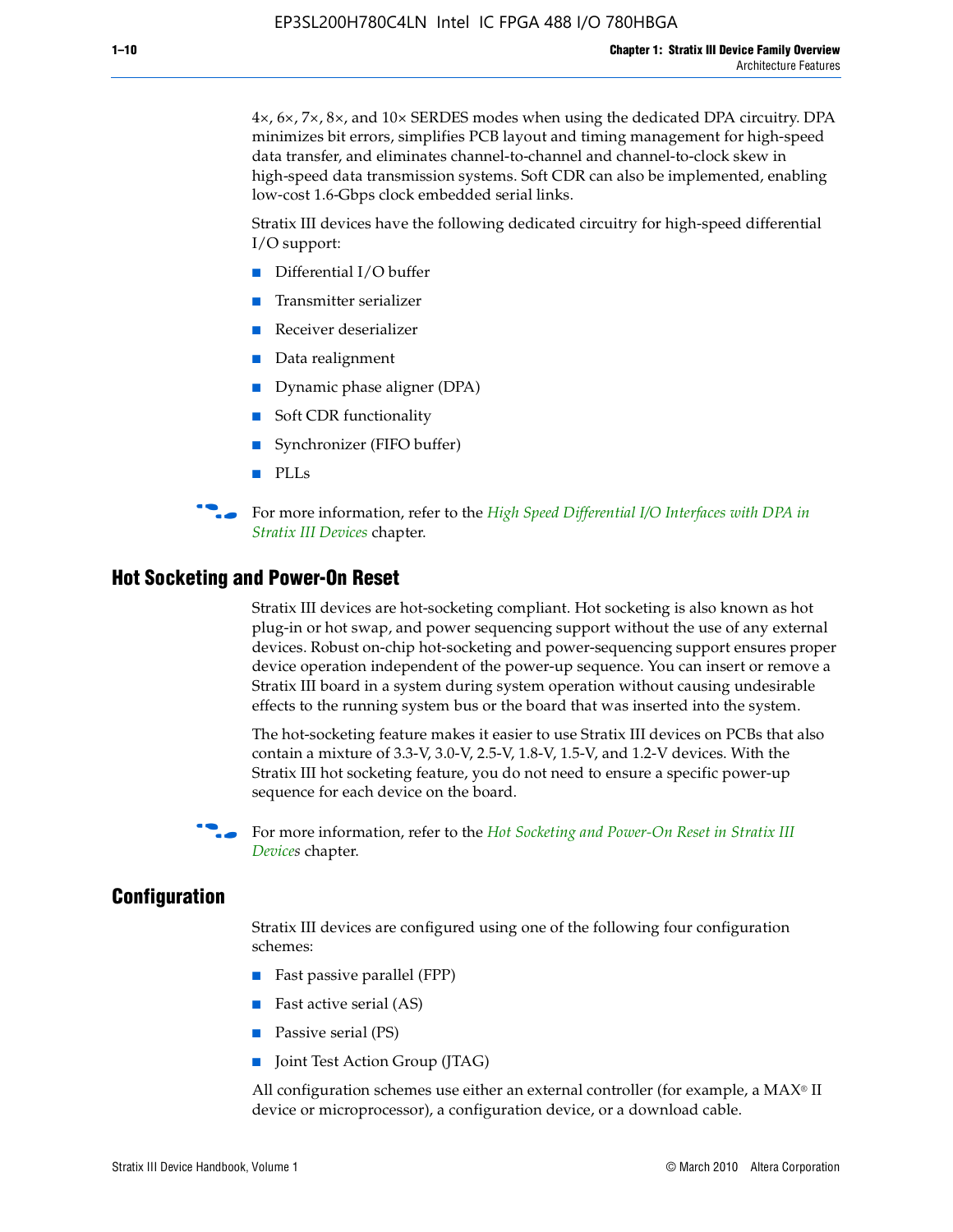4×, 6×, 7×, 8×, and 10× SERDES modes when using the dedicated DPA circuitry. DPA minimizes bit errors, simplifies PCB layout and timing management for high-speed data transfer, and eliminates channel-to-channel and channel-to-clock skew in high-speed data transmission systems. Soft CDR can also be implemented, enabling low-cost 1.6-Gbps clock embedded serial links.

Stratix III devices have the following dedicated circuitry for high-speed differential I/O support:

- Differential I/O buffer
- Transmitter serializer
- Receiver deserializer
- Data realignment
- Dynamic phase aligner (DPA)
- Soft CDR functionality
- Synchronizer (FIFO buffer)
- PLLs

**For more information, refer to the** *High Speed Differential I/O Interfaces with DPA in [Stratix III Devices](http://www.altera.com/literature/hb/stx3/stx3_siii51009.pdf)* chapter.

#### **Hot Socketing and Power-On Reset**

Stratix III devices are hot-socketing compliant. Hot socketing is also known as hot plug-in or hot swap, and power sequencing support without the use of any external devices. Robust on-chip hot-socketing and power-sequencing support ensures proper device operation independent of the power-up sequence. You can insert or remove a Stratix III board in a system during system operation without causing undesirable effects to the running system bus or the board that was inserted into the system.

The hot-socketing feature makes it easier to use Stratix III devices on PCBs that also contain a mixture of 3.3-V, 3.0-V, 2.5-V, 1.8-V, 1.5-V, and 1.2-V devices. With the Stratix III hot socketing feature, you do not need to ensure a specific power-up sequence for each device on the board.

f For more information, refer to the *[Hot Socketing and Power-On Reset in Stratix III](http://www.altera.com/literature/hb/stx3/stx3_siii51010.pdf)  [Device](http://www.altera.com/literature/hb/stx3/stx3_siii51010.pdf)s* chapter.

#### **Configuration**

Stratix III devices are configured using one of the following four configuration schemes:

- Fast passive parallel (FPP)
- Fast active serial (AS)
- Passive serial (PS)
- Joint Test Action Group (JTAG)

All configuration schemes use either an external controller (for example, a  $MAX<sup>®</sup>$  II device or microprocessor), a configuration device, or a download cable.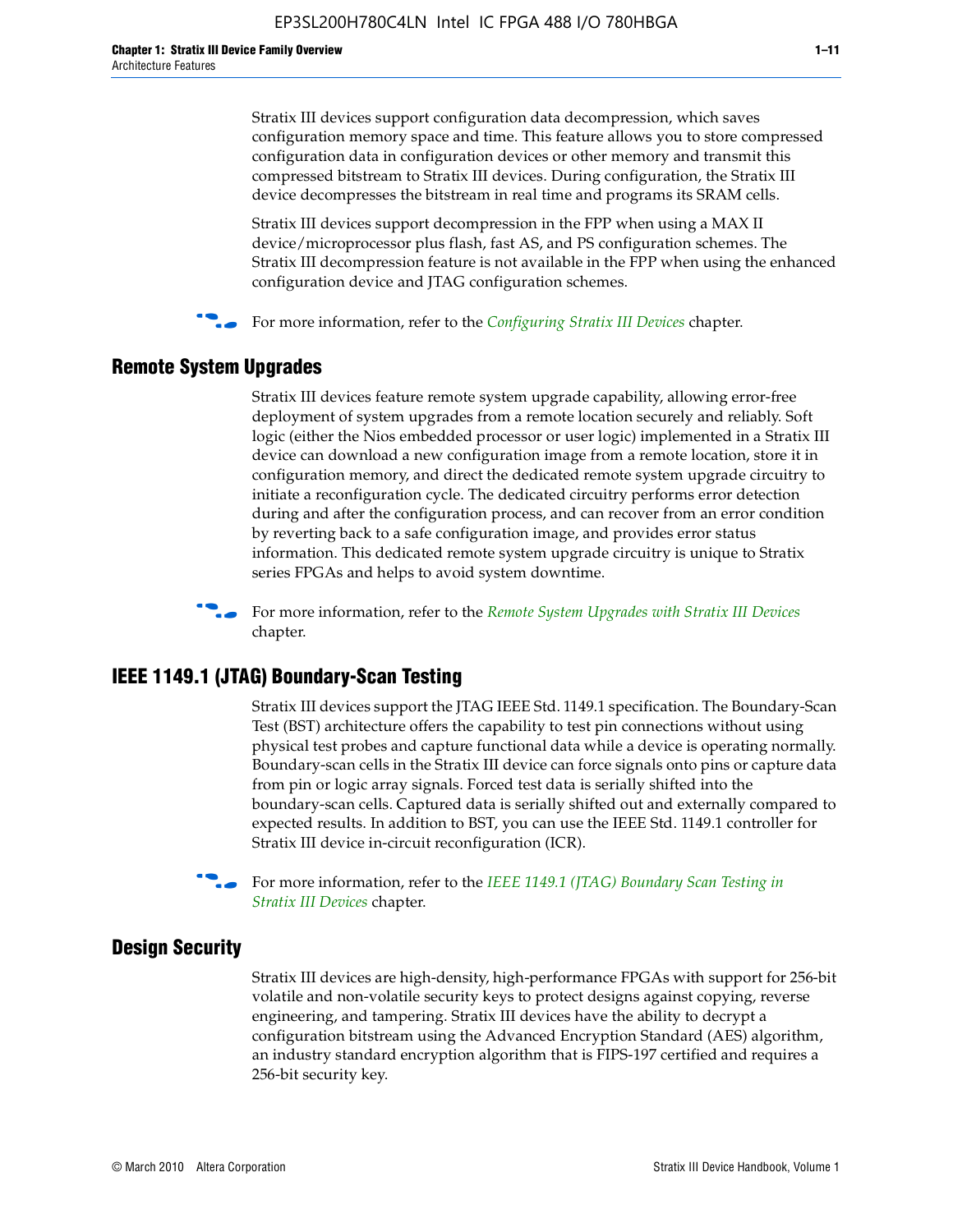Stratix III devices support configuration data decompression, which saves configuration memory space and time. This feature allows you to store compressed configuration data in configuration devices or other memory and transmit this compressed bitstream to Stratix III devices. During configuration, the Stratix III device decompresses the bitstream in real time and programs its SRAM cells.

Stratix III devices support decompression in the FPP when using a MAX II device/microprocessor plus flash, fast AS, and PS configuration schemes. The Stratix III decompression feature is not available in the FPP when using the enhanced configuration device and JTAG configuration schemes.

For more information, refer to the *[Configuring Stratix III Devices](http://www.altera.com/literature/hb/stx3/stx3_siii51011.pdf)* chapter.

## **Remote System Upgrades**

Stratix III devices feature remote system upgrade capability, allowing error-free deployment of system upgrades from a remote location securely and reliably. Soft logic (either the Nios embedded processor or user logic) implemented in a Stratix III device can download a new configuration image from a remote location, store it in configuration memory, and direct the dedicated remote system upgrade circuitry to initiate a reconfiguration cycle. The dedicated circuitry performs error detection during and after the configuration process, and can recover from an error condition by reverting back to a safe configuration image, and provides error status information. This dedicated remote system upgrade circuitry is unique to Stratix series FPGAs and helps to avoid system downtime.



**For more information, refer to the** *[Remote System Upgrades with Stratix III Devices](http://www.altera.com/literature/hb/stx3/stx3_siii51012.pdf)* chapter.

## **IEEE 1149.1 (JTAG) Boundary-Scan Testing**

Stratix III devices support the JTAG IEEE Std. 1149.1 specification. The Boundary-Scan Test (BST) architecture offers the capability to test pin connections without using physical test probes and capture functional data while a device is operating normally. Boundary-scan cells in the Stratix III device can force signals onto pins or capture data from pin or logic array signals. Forced test data is serially shifted into the boundary-scan cells. Captured data is serially shifted out and externally compared to expected results. In addition to BST, you can use the IEEE Std. 1149.1 controller for Stratix III device in-circuit reconfiguration (ICR).

For more information, refer to the *IEEE 1149.1 (JTAG) Boundary Scan Testing in [Stratix III Devices](http://www.altera.com/literature/hb/stx3/stx3_siii51013.pdf)* chapter.

## **Design Security**

Stratix III devices are high-density, high-performance FPGAs with support for 256-bit volatile and non-volatile security keys to protect designs against copying, reverse engineering, and tampering. Stratix III devices have the ability to decrypt a configuration bitstream using the Advanced Encryption Standard (AES) algorithm, an industry standard encryption algorithm that is FIPS-197 certified and requires a 256-bit security key.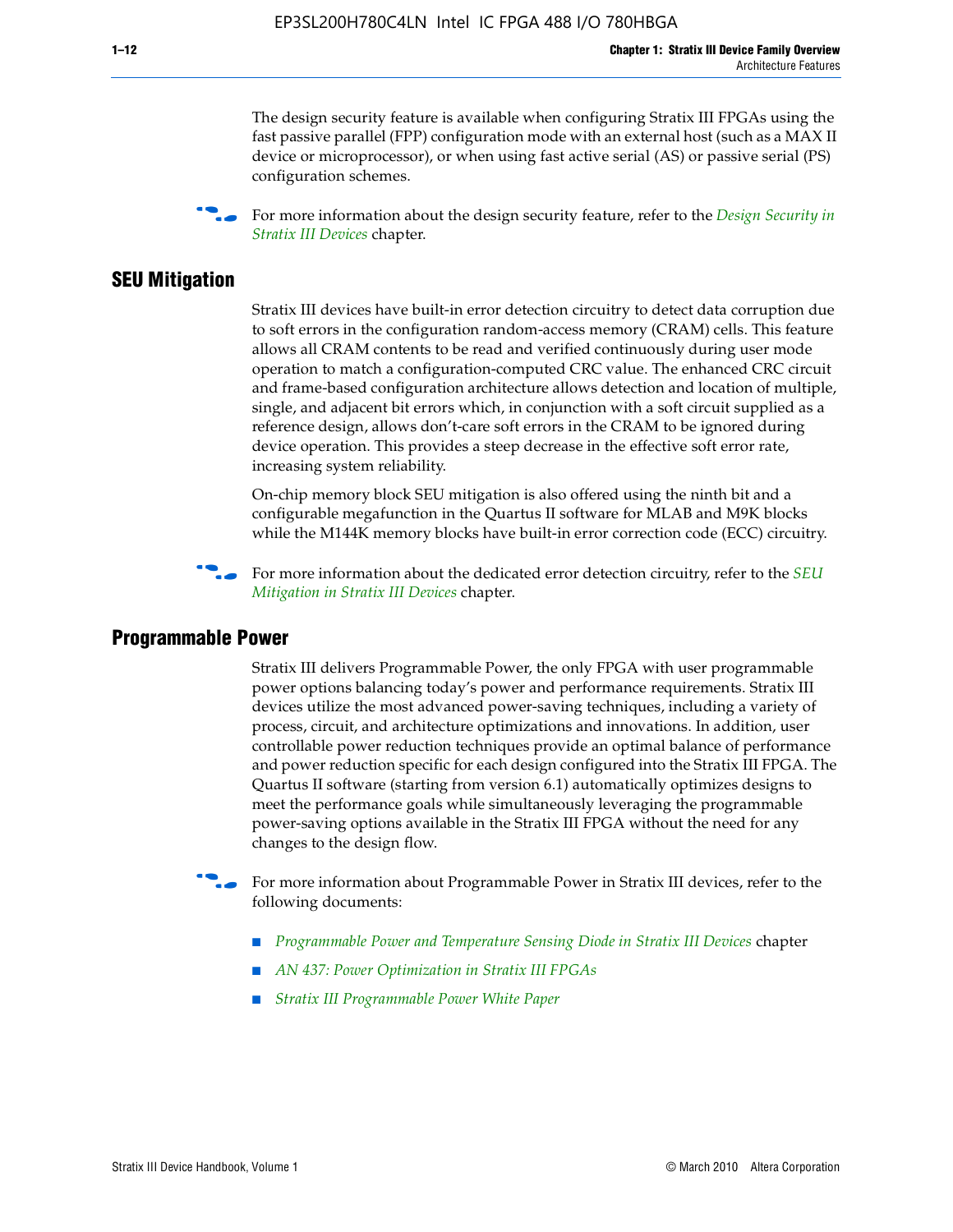The design security feature is available when configuring Stratix III FPGAs using the fast passive parallel (FPP) configuration mode with an external host (such as a MAX II device or microprocessor), or when using fast active serial (AS) or passive serial (PS) configuration schemes.

f For more information about the design security feature, refer to the *[Design Security in](http://www.altera.com/literature/hb/stx3/stx3_siii51014.pdf)  [Stratix III Devices](http://www.altera.com/literature/hb/stx3/stx3_siii51014.pdf)* chapter.

## **SEU Mitigation**

Stratix III devices have built-in error detection circuitry to detect data corruption due to soft errors in the configuration random-access memory (CRAM) cells. This feature allows all CRAM contents to be read and verified continuously during user mode operation to match a configuration-computed CRC value. The enhanced CRC circuit and frame-based configuration architecture allows detection and location of multiple, single, and adjacent bit errors which, in conjunction with a soft circuit supplied as a reference design, allows don't-care soft errors in the CRAM to be ignored during device operation. This provides a steep decrease in the effective soft error rate, increasing system reliability.

On-chip memory block SEU mitigation is also offered using the ninth bit and a configurable megafunction in the Quartus II software for MLAB and M9K blocks while the M144K memory blocks have built-in error correction code (ECC) circuitry.

For more information about the dedicated error detection circuitry, refer to the *SEU [Mitigation in Stratix III Devices](http://www.altera.com/literature/hb/stx3/stx3_siii51015.pdf)* chapter.

#### **Programmable Power**

Stratix III delivers Programmable Power, the only FPGA with user programmable power options balancing today's power and performance requirements. Stratix III devices utilize the most advanced power-saving techniques, including a variety of process, circuit, and architecture optimizations and innovations. In addition, user controllable power reduction techniques provide an optimal balance of performance and power reduction specific for each design configured into the Stratix III FPGA. The Quartus II software (starting from version 6.1) automatically optimizes designs to meet the performance goals while simultaneously leveraging the programmable power-saving options available in the Stratix III FPGA without the need for any changes to the design flow.

For more information about Programmable Power in Stratix III devices, refer to the following documents:

- *[Programmable Power and Temperature Sensing Diode in Stratix III Devices](http://www.altera.com/literature/hb/stx3/stx3_siii51016.pdf)* chapter
- *[AN 437: Power Optimization in Stratix III FPGAs](http://www.altera.com/literature/an/AN437.pdf)*
- *[Stratix III Programmable Power White Paper](http://www.altera.com/literature/wp/wp-01006.pdf)*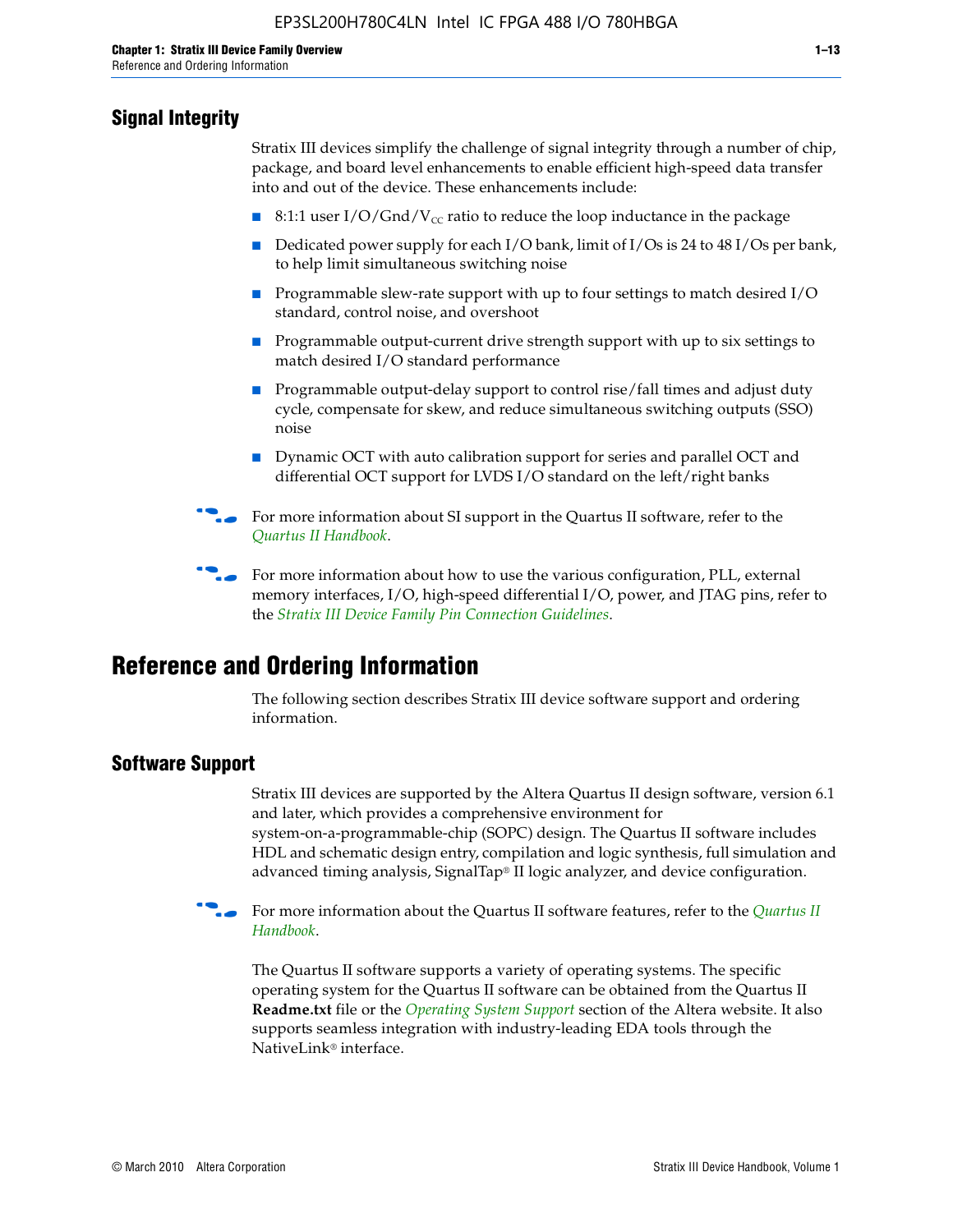## **Signal Integrity**

Stratix III devices simplify the challenge of signal integrity through a number of chip, package, and board level enhancements to enable efficient high-speed data transfer into and out of the device. These enhancements include:

- 8:1:1 user I/O/Gnd/V<sub>cc</sub> ratio to reduce the loop inductance in the package
- Dedicated power supply for each I/O bank, limit of I/Os is 24 to 48 I/Os per bank, to help limit simultaneous switching noise
- Programmable slew-rate support with up to four settings to match desired I/O standard, control noise, and overshoot
- Programmable output-current drive strength support with up to six settings to match desired I/O standard performance
- Programmable output-delay support to control rise/fall times and adjust duty cycle, compensate for skew, and reduce simultaneous switching outputs (SSO) noise
- Dynamic OCT with auto calibration support for series and parallel OCT and differential OCT support for LVDS I/O standard on the left/right banks
- For mor[e](http://www.altera.com/literature/hb/qts/quartusii_handbook.pdf) information about SI support in the Quartus II software, refer to the *[Quartus II Handbook](http://www.altera.com/literature/hb/qts/quartusii_handbook.pdf)*.

For more information about how to use the various configuration, PLL, external memory interfaces, I/O, high-speed differential I/O, power, and JTAG pins, refer to the *[Stratix III Device Family Pin Connection Guidelines](http://www.altera.com/literature/dp/stx3/PCG-01004.pdf)*.

# **Reference and Ordering Information**

The following section describes Stratix III device software support and ordering information.

## **Software Support**

Stratix III devices are supported by the Altera Quartus II design software, version 6.1 and later, which provides a comprehensive environment for system-on-a-programmable-chip (SOPC) design. The Quartus II software includes HDL and schematic design entry, compilation and logic synthesis, full simulation and advanced timing analysis, SignalTap® II logic analyzer, and device configuration.

**For more information about the [Quartus II](http://www.altera.com/literature/hb/qts/quartusii_handbook.pdf) software features, refer to the** *Quartus II* **<b>Fig. 7** *[Handbook](http://www.altera.com/literature/hb/qts/quartusii_handbook.pdf)*.

The Quartus II software supports a variety of operating systems. The specific operating system for the Quartus II software can be obtained from the Quartus II **Readme.txt** file or the *[Operating System Support](http://www.altera.com/support/software/os_support/oss-index.html)* section of the Altera website. It also supports seamless integration with industry-leading EDA tools through the NativeLink® interface.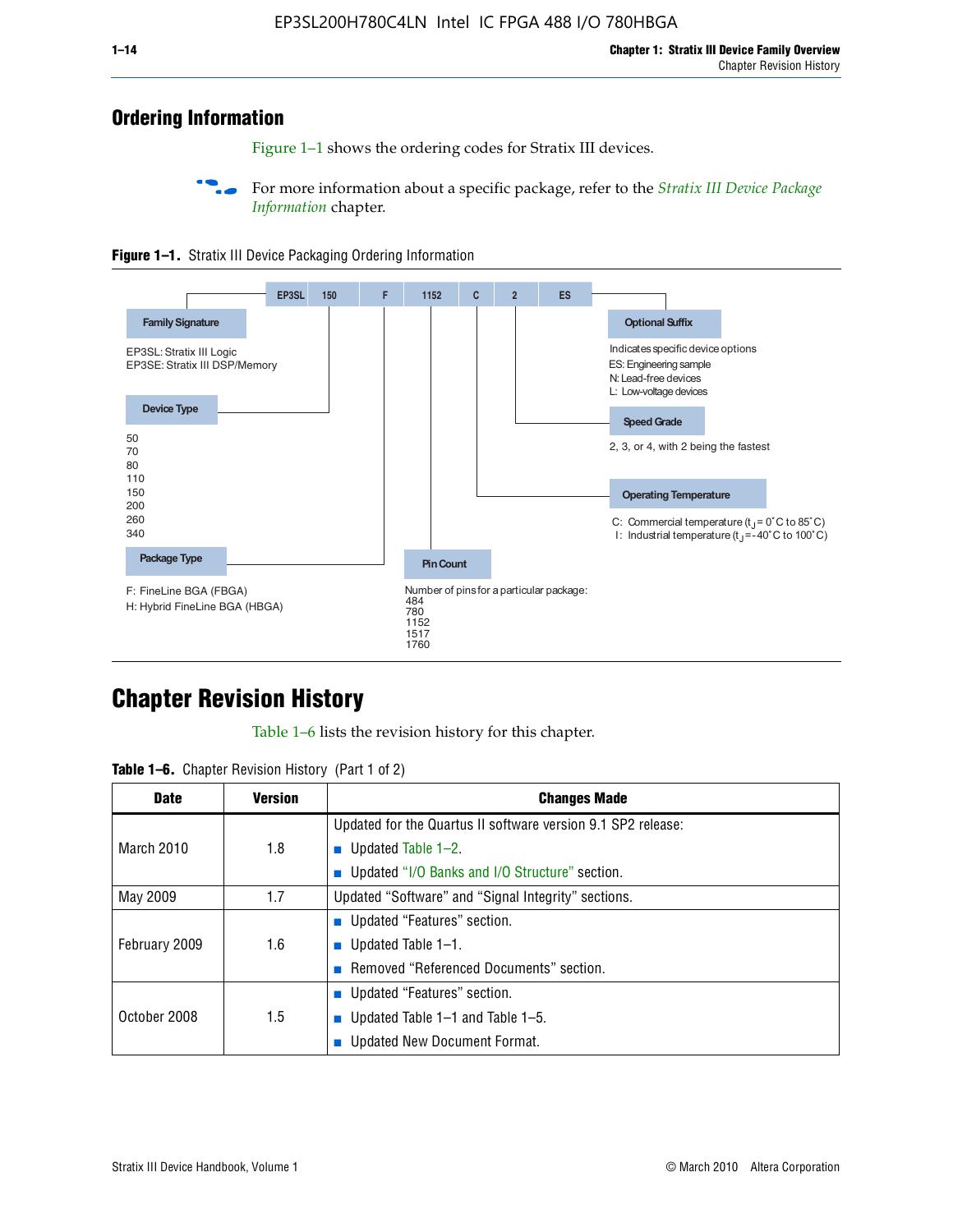## **Ordering Information**

Figure 1–1 shows the ordering codes for Stratix III devices.

For more information about a specific package, refer to the *Stratix III Device Package [Information](http://www.altera.com/literature/hb/stx3/stx3_siii51017.pdf)* chapter.





# **[C](http://www.altera.com/literature/hb/stx3/stx3_siii51012.pdf)hapter Revision History**

Table 1–6 lists the revision history for this chapter.

| <b>Table 1–6.</b> Chapter Revision History (Part 1 of 2) |  |  |  |  |  |
|----------------------------------------------------------|--|--|--|--|--|
|----------------------------------------------------------|--|--|--|--|--|

| <b>Date</b>       | <b>Version</b> | <b>Changes Made</b>                                          |
|-------------------|----------------|--------------------------------------------------------------|
|                   |                | Updated for the Quartus II software version 9.1 SP2 release: |
| <b>March 2010</b> | 1.8            | <b>u</b> Updated Table $1-2$ .                               |
|                   |                | ■ Updated "I/O Banks and I/O Structure" section.             |
| May 2009          | 1.7            | Updated "Software" and "Signal Integrity" sections.          |
|                   |                | ■ Updated "Features" section.                                |
| February 2009     | 1.6            | <b>u</b> Updated Table $1-1$ .                               |
|                   |                | Removed "Referenced Documents" section.                      |
|                   |                | ■ Updated "Features" section.                                |
| October 2008      | 1.5            | ■ Updated Table $1-1$ and Table $1-5$ .                      |
|                   |                | Updated New Document Format.                                 |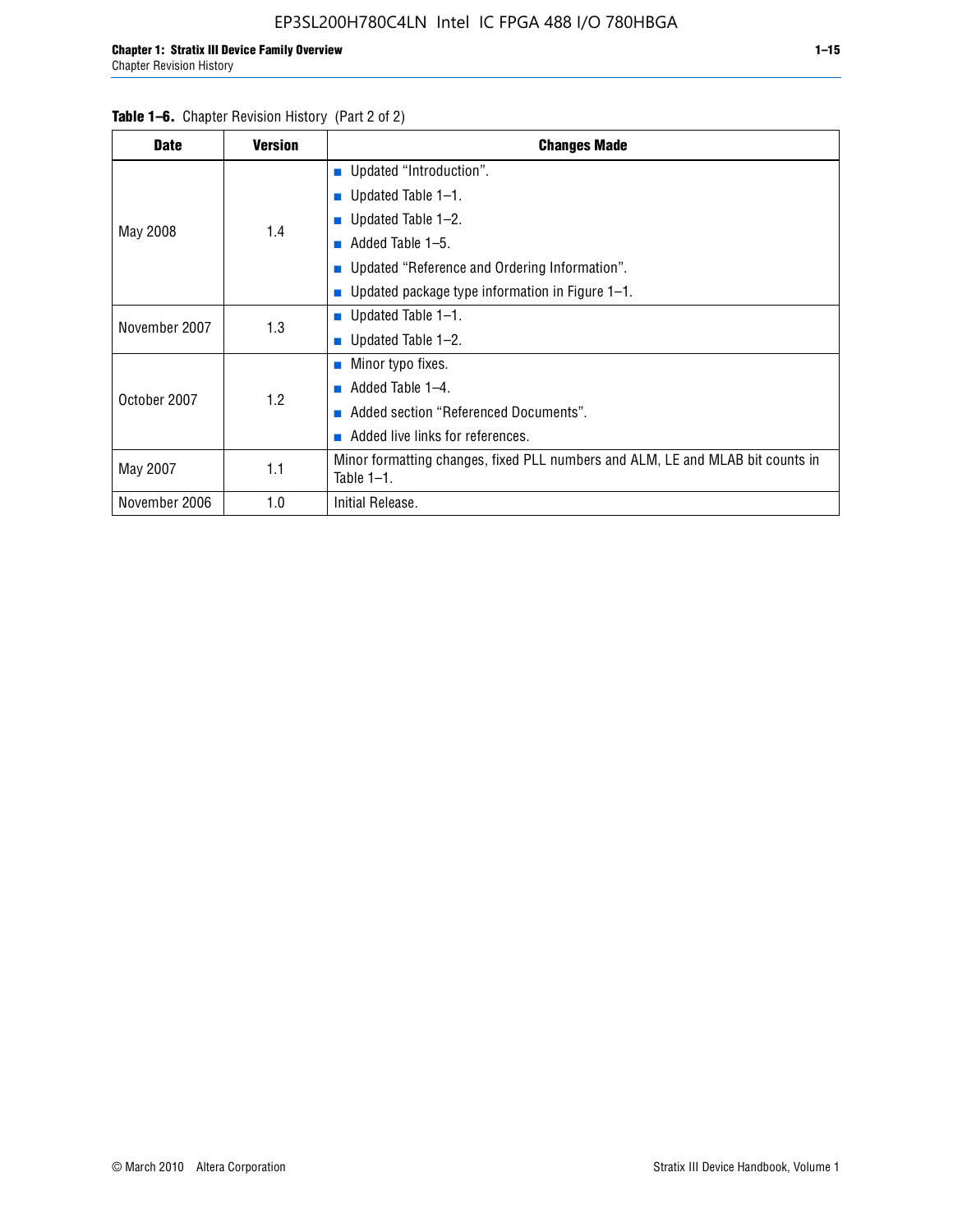| <b>Date</b>   | <b>Version</b> | <b>Changes Made</b>                                                                             |
|---------------|----------------|-------------------------------------------------------------------------------------------------|
|               |                | ■ Updated "Introduction".                                                                       |
|               |                | ■ Updated Table $1-1$ .                                                                         |
|               | 1.4            | Updated Table 1-2.                                                                              |
| May 2008      |                | Added Table 1-5.                                                                                |
|               |                | ■ Updated "Reference and Ordering Information".                                                 |
|               |                | Updated package type information in Figure $1-1$ .                                              |
| November 2007 | 1.3            | ■ Updated Table $1-1$ .                                                                         |
|               |                | ■ Updated Table $1-2$ .                                                                         |
|               |                | $\blacksquare$ Minor typo fixes.                                                                |
| October 2007  | 1.2            | Added Table 1-4.<br>ш                                                                           |
|               |                | Added section "Referenced Documents".                                                           |
|               |                | Added live links for references.                                                                |
| May 2007      | 1.1            | Minor formatting changes, fixed PLL numbers and ALM, LE and MLAB bit counts in<br>Table $1-1$ . |
| November 2006 | 1.0            | Initial Release.                                                                                |